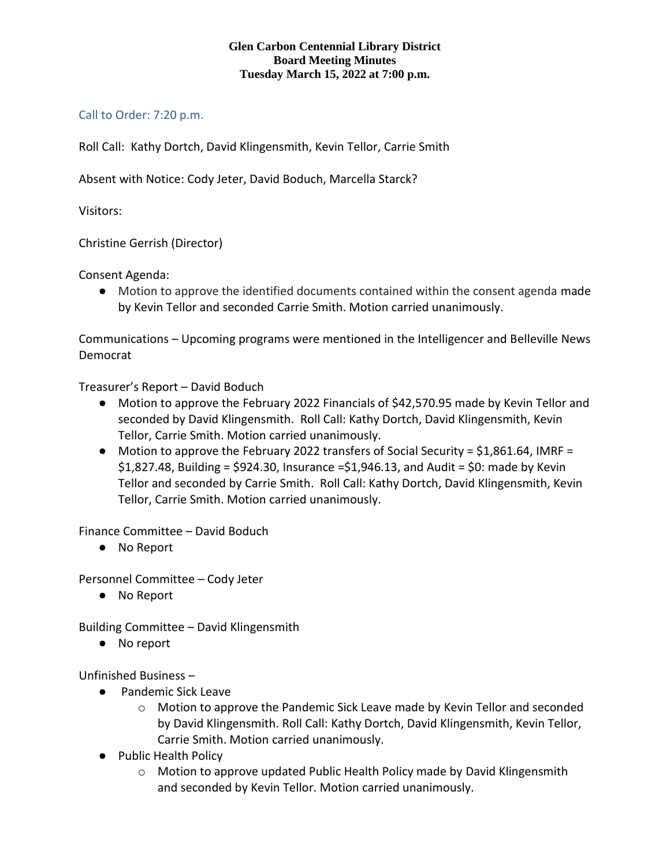## **Glen Carbon Centennial Library District Board Meeting Minutes Tuesday March 15, 2022 at 7:00 p.m.**

## Call to Order: 7:20 p.m.

Roll Call: Kathy Dortch, David Klingensmith, Kevin Tellor, Carrie Smith

Absent with Notice: Cody Jeter, David Boduch, Marcella Starck?

Visitors:

Christine Gerrish (Director)

Consent Agenda:

● Motion to approve the identified documents contained within the consent agenda made by Kevin Tellor and seconded Carrie Smith. Motion carried unanimously.

Communications – Upcoming programs were mentioned in the Intelligencer and Belleville News Democrat

Treasurer's Report – David Boduch

- Motion to approve the February 2022 Financials of \$42,570.95 made by Kevin Tellor and seconded by David Klingensmith. Roll Call: Kathy Dortch, David Klingensmith, Kevin Tellor, Carrie Smith. Motion carried unanimously.
- Motion to approve the February 2022 transfers of Social Security = \$1,861.64, IMRF =  $$1,827.48$ , Building = \$924.30, Insurance = \$1,946.13, and Audit = \$0: made by Kevin Tellor and seconded by Carrie Smith. Roll Call: Kathy Dortch, David Klingensmith, Kevin Tellor, Carrie Smith. Motion carried unanimously.

Finance Committee – David Boduch

● No Report

Personnel Committee – Cody Jeter

● No Report

Building Committee – David Klingensmith

● No report

Unfinished Business –

- Pandemic Sick Leave
	- $\circ$  Motion to approve the Pandemic Sick Leave made by Kevin Tellor and seconded by David Klingensmith. Roll Call: Kathy Dortch, David Klingensmith, Kevin Tellor, Carrie Smith. Motion carried unanimously.
- Public Health Policy
	- o Motion to approve updated Public Health Policy made by David Klingensmith and seconded by Kevin Tellor. Motion carried unanimously.